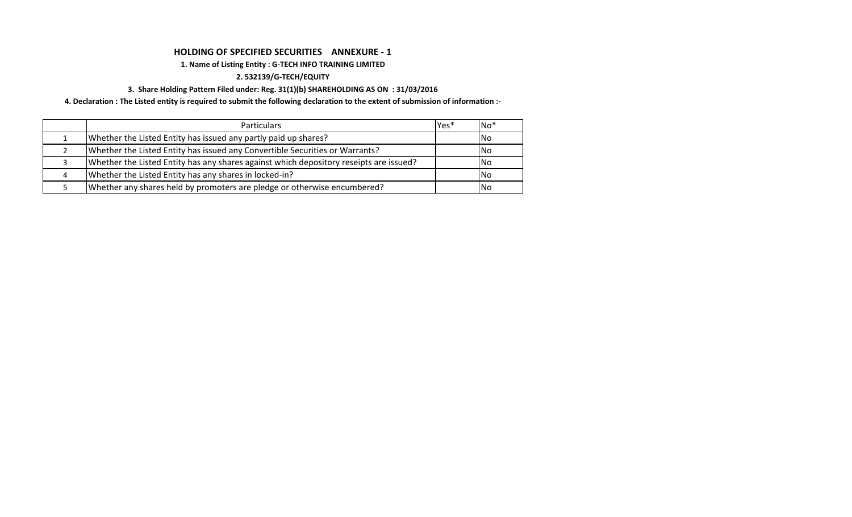### **HOLDING OF SPECIFIED SECURITIES ANNEXURE - 1**

#### **1. Name of Listing Entity : G-TECH INFO TRAINING LIMITED**

#### **2. 532139/G-TECH/EQUITY**

#### **3. Share Holding Pattern Filed under: Reg. 31(1)(b) SHAREHOLDING AS ON : 31/03/2016**

**4. Declaration : The Listed entity is required to submit the following declaration to the extent of submission of information :-**

| <b>Particulars</b>                                                                     | lYes* | $No*$ |
|----------------------------------------------------------------------------------------|-------|-------|
| Whether the Listed Entity has issued any partly paid up shares?                        |       | INo.  |
| Whether the Listed Entity has issued any Convertible Securities or Warrants?           |       | INo.  |
| Whether the Listed Entity has any shares against which depository reseipts are issued? |       | INo.  |
| Whether the Listed Entity has any shares in locked-in?                                 |       | INo.  |
| Whether any shares held by promoters are pledge or otherwise encumbered?               |       | INo.  |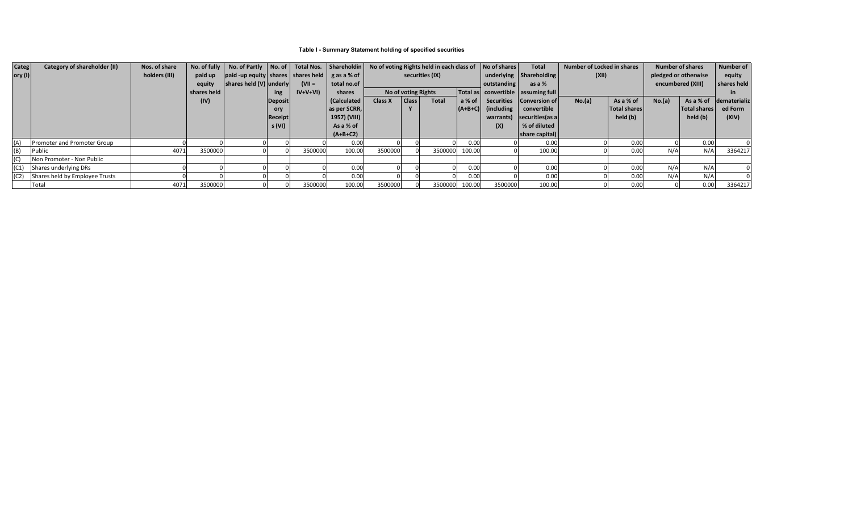## **Table I - Summary Statement holding of specified securities**

| Categ                   | Category of shareholder (II)                | Nos. of share |             | No. of fully   No. of Partly   No. of   Total Nos.   Shareholdin                                          |                |           |              | No of voting Rights held in each class of |                     |              |             | No of shares                           | <b>Total</b>               | <b>Number of Locked in shares</b> |              | <b>Number of shares</b> |                   | <b>Number of</b> |
|-------------------------|---------------------------------------------|---------------|-------------|-----------------------------------------------------------------------------------------------------------|----------------|-----------|--------------|-------------------------------------------|---------------------|--------------|-------------|----------------------------------------|----------------------------|-----------------------------------|--------------|-------------------------|-------------------|------------------|
| $\vert$ ory (I) $\vert$ |                                             | holders (III) |             | paid up $\left  \right $ paid -up equity shares shares held $\left  \right $ g as a % of $\left  \right $ |                |           |              | securities (IX)                           |                     |              |             |                                        | underlying   Shareholding  | (XII)                             |              | pledged or otherwise    |                   | equity           |
|                         |                                             |               | equity      | $ $ shares held $(V)$ underly                                                                             |                | $(VII =$  | total no.of  |                                           |                     |              |             | outstanding                            | as a %                     |                                   |              |                         | encumbered (XIII) | shares held      |
|                         |                                             |               | shares held |                                                                                                           | ing            | $IV+V+VI$ | shares       |                                           | No of voting Rights |              |             | Total as   convertible   assuming full |                            |                                   |              |                         |                   |                  |
|                         |                                             |               | (IV)        |                                                                                                           | Deposit        |           | (Calculated  | <b>Class X</b>                            | Class               | <b>Total</b> | a % of      |                                        | Securities   Conversion of | No.(a)                            | As a % of    | No.(a)                  | As a % of         | dematerializ     |
|                         |                                             |               |             |                                                                                                           | ory            |           | as per SCRR, |                                           |                     |              | $ (A+B+C) $ | (including)                            | convertible                |                                   | Total shares |                         | Total shares      | ed Form          |
|                         |                                             |               |             |                                                                                                           | <b>Receipt</b> |           | 1957) (VIII) |                                           |                     |              |             | warrants)                              | $ $ securities(as a $ $    |                                   | held (b)     |                         | held (b)          | (XIV)            |
|                         |                                             |               |             |                                                                                                           | s (VI)         |           | As a % of    |                                           |                     |              |             | (X)                                    | % of diluted               |                                   |              |                         |                   |                  |
|                         |                                             |               |             |                                                                                                           |                |           | $(A+B+C2)$   |                                           |                     |              |             |                                        | $ $ share capital) $ $     |                                   |              |                         |                   |                  |
| (A)                     | <b>Promoter and Promoter Group</b>          |               |             |                                                                                                           |                |           | 0.00         |                                           |                     |              | 0.00        |                                        | 0.00                       |                                   | 0.00         |                         | 0.00              |                  |
| (B)                     | Public                                      | 4071          | 3500000     |                                                                                                           |                | 3500000   | 100.00       | 3500000                                   |                     | 3500000      | 100.00      |                                        | 100.00                     |                                   | 0.00         | N/A                     | N/A               | 3364217          |
| (C)                     | Non Promoter - Non Public                   |               |             |                                                                                                           |                |           |              |                                           |                     |              |             |                                        |                            |                                   |              |                         |                   |                  |
| (C1)                    | Shares underlying DRs                       |               |             |                                                                                                           |                |           | 0.00         |                                           |                     |              | 0.00        |                                        | 0.00                       |                                   | 0.00         | N/A                     | N/A               |                  |
|                         | $\vert$ (C2) Shares held by Employee Trusts |               |             |                                                                                                           |                |           | 0.00         |                                           |                     |              | 0.00        |                                        | 0.00                       |                                   | 0.00         | N/A                     | N/A               |                  |
|                         | <b>Total</b>                                | 4071          | 3500000     |                                                                                                           |                | 3500000   | 100.00       | 3500000                                   |                     | 3500000      | 100.00      | 3500000                                | 100.00                     |                                   | 0.00         |                         | 0.00              | 3364217          |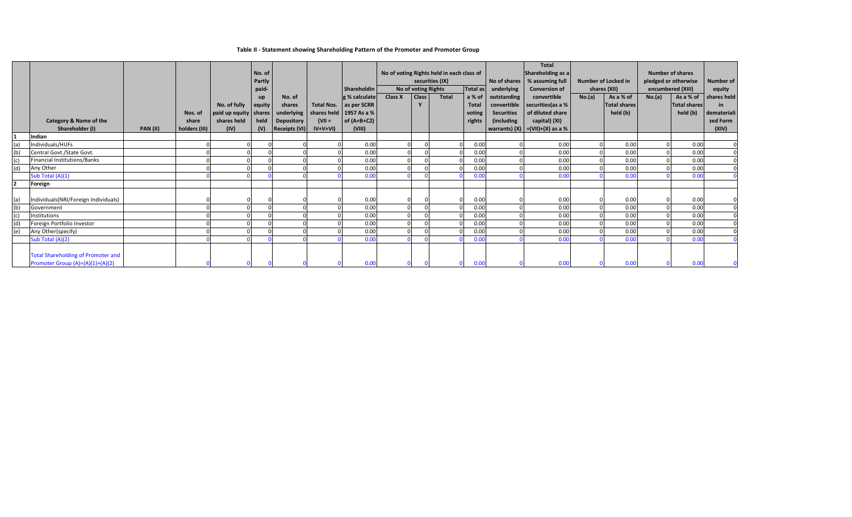|     |                                                                               |                 |                                   |                                                                          | No. of<br>Partly<br>paid-          |                                                 |                        | Shareholdin                                                                                                                 | No of voting Rights held in each class of<br>securities (IX)<br>No of voting Rights<br>Total as |            |              | <b>Total</b><br>Shareholding as a<br>No of shares  <br>% assuming full<br>underlying<br><b>Conversion of</b> |                                                               | <b>Number of Locked in</b><br>shares (XII)                                                                       |        | <b>Number of shares</b><br>pledged or otherwise<br>encumbered (XIII) |        | <b>Number of</b><br>equity                   |                                                       |
|-----|-------------------------------------------------------------------------------|-----------------|-----------------------------------|--------------------------------------------------------------------------|------------------------------------|-------------------------------------------------|------------------------|-----------------------------------------------------------------------------------------------------------------------------|-------------------------------------------------------------------------------------------------|------------|--------------|--------------------------------------------------------------------------------------------------------------|---------------------------------------------------------------|------------------------------------------------------------------------------------------------------------------|--------|----------------------------------------------------------------------|--------|----------------------------------------------|-------------------------------------------------------|
|     | <b>Category &amp; Name of the</b><br>Shareholder (I)                          | <b>PAN (II)</b> | Nos. of<br>share<br>holders (III) | No. of fully<br>$ $ paid up equity $ $ shares $ $<br>shares held<br>(IV) | <b>up</b><br>equity<br>held<br>(V) | No. of<br>shares<br>Depository<br>Receipts (VI) | $(VII =$<br>$IV+V+VI)$ | $ g \mathcal{C}$ calculate<br>Total Nos.   as per SCRR<br>underlying   shares held   1957 As a %<br>of $(A+B+C2)$<br>(VIII) | <b>Class X</b>                                                                                  | Class<br>Y | <b>Total</b> | a % of<br><b>Total</b><br>voting<br>rights                                                                   | outstanding<br>convertible<br><b>Securities</b><br>(including | convertible<br>securities (as a %<br>of diluted share<br>capital) (XI)<br>  warrants) (X) $  = (VII)+(X)$ as a % | No.(a) | As a % of<br><b>Total shares</b><br>held (b)                         | No.(a) | As a % of<br><b>Total shares</b><br>held (b) | shares held<br>in<br>demateriali<br>zed Form<br>(XIV) |
|     | Indian                                                                        |                 |                                   |                                                                          |                                    |                                                 |                        |                                                                                                                             |                                                                                                 |            |              |                                                                                                              |                                                               |                                                                                                                  |        |                                                                      |        |                                              |                                                       |
| (a) | Individuals/HUFs                                                              |                 |                                   |                                                                          |                                    |                                                 |                        | 0.00                                                                                                                        |                                                                                                 |            |              | 0.00                                                                                                         |                                                               | 0.00                                                                                                             |        | 0.00                                                                 |        | 0.00                                         |                                                       |
| (b) | Central Govt./State Govt.                                                     |                 |                                   |                                                                          |                                    |                                                 |                        | 0.00                                                                                                                        |                                                                                                 |            |              | 0.00                                                                                                         |                                                               | 0.00                                                                                                             |        | 0.00                                                                 |        | 0.00                                         |                                                       |
| (c) | Financial Institutions/Banks                                                  |                 |                                   |                                                                          |                                    |                                                 |                        | 0.00                                                                                                                        |                                                                                                 |            |              | 0.00                                                                                                         |                                                               | 0.00                                                                                                             |        | 0.00                                                                 |        | 0.00                                         |                                                       |
| (d) | Any Other                                                                     |                 |                                   |                                                                          |                                    |                                                 |                        | 0.00                                                                                                                        |                                                                                                 |            |              | 0.00                                                                                                         |                                                               | 0.00                                                                                                             |        | 0.00                                                                 |        | 0.00                                         |                                                       |
|     | Sub Total (A)(1)                                                              |                 |                                   |                                                                          |                                    |                                                 |                        | 0.00                                                                                                                        |                                                                                                 |            |              | 0.00                                                                                                         |                                                               | 0.00                                                                                                             |        | 0.00                                                                 |        | 0.00                                         |                                                       |
|     | Foreign                                                                       |                 |                                   |                                                                          |                                    |                                                 |                        |                                                                                                                             |                                                                                                 |            |              |                                                                                                              |                                                               |                                                                                                                  |        |                                                                      |        |                                              |                                                       |
| (a) | Individuals(NRI/Foreign Individuals)                                          |                 |                                   |                                                                          |                                    |                                                 |                        | 0.00                                                                                                                        |                                                                                                 |            |              | 0.00                                                                                                         |                                                               | 0.00                                                                                                             |        | 0.00                                                                 |        | 0.00                                         |                                                       |
| (b) | Government                                                                    |                 |                                   |                                                                          |                                    |                                                 |                        | 0.00                                                                                                                        |                                                                                                 |            |              | 0.00                                                                                                         |                                                               | 0.00                                                                                                             |        | 0.00                                                                 |        | 0.00                                         |                                                       |
| (c) | Institutions                                                                  |                 |                                   |                                                                          |                                    |                                                 |                        | 0.00                                                                                                                        |                                                                                                 |            |              | 0.00                                                                                                         |                                                               | 0.00                                                                                                             |        | 0.00                                                                 |        | 0.00                                         |                                                       |
|     | Foreign Portfolio Investor                                                    |                 |                                   |                                                                          |                                    |                                                 |                        | 0.00                                                                                                                        |                                                                                                 |            |              | 0.00                                                                                                         |                                                               | 0.00                                                                                                             |        | 0.00                                                                 |        | 0.00                                         |                                                       |
| (e) | Any Other(specify)                                                            |                 |                                   |                                                                          |                                    |                                                 |                        | 0.00                                                                                                                        |                                                                                                 |            |              | 0.00                                                                                                         |                                                               | 0.00                                                                                                             |        | 0.00                                                                 |        | 0.00                                         |                                                       |
|     | Sub Total (A)(2)                                                              |                 |                                   |                                                                          |                                    |                                                 |                        | 0.00                                                                                                                        |                                                                                                 |            |              | 0.00                                                                                                         |                                                               | 0.00                                                                                                             |        | 0.00                                                                 |        | 0.00                                         |                                                       |
|     | <b>Total Shareholding of Promoter and</b><br>Promoter Group (A)=(A)(1)+(A)(2) |                 |                                   |                                                                          |                                    |                                                 |                        | 0.00                                                                                                                        |                                                                                                 |            |              | 0.00                                                                                                         |                                                               | 0.00                                                                                                             |        | 0.00                                                                 |        | 0.00                                         |                                                       |

**Table II - Statement showing Shareholding Pattern of the Promoter and Promoter Group**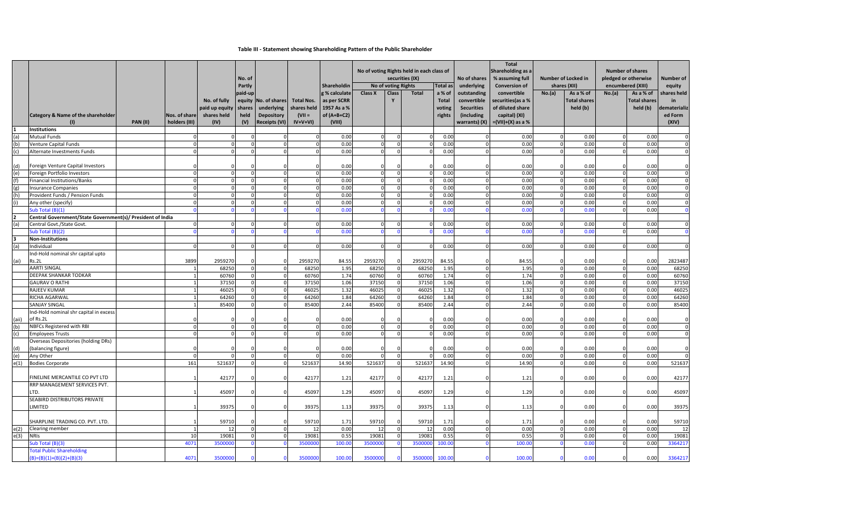|                   |                                                                  |                 |                 |                | No. of  |                                                   |                           |               | No of voting Rights held in each class of<br>securities (IX) |              | No of shares   |                      | <b>Total</b><br>Shareholding as a<br>% assuming full | <b>Number of Locked in</b><br>shares (XII) |          | <b>Number of shares</b><br>pledged or otherwise<br>encumbered (XIII) |        | <b>Number of</b> |                |
|-------------------|------------------------------------------------------------------|-----------------|-----------------|----------------|---------|---------------------------------------------------|---------------------------|---------------|--------------------------------------------------------------|--------------|----------------|----------------------|------------------------------------------------------|--------------------------------------------|----------|----------------------------------------------------------------------|--------|------------------|----------------|
|                   |                                                                  |                 |                 |                | Partly  |                                                   |                           | Shareholdin   | Total as<br>No of voting Rights                              |              | underlying     | <b>Conversion of</b> |                                                      |                                            |          |                                                                      | equity |                  |                |
|                   |                                                                  |                 |                 |                | paid-up |                                                   |                           | g % calculate | <b>Class X</b>                                               | <b>Class</b> | <b>Total</b>   | a % of               | outstanding                                          | convertible                                | No.(a)   | As a % of                                                            | No.(a) | As a % of        | shares held    |
|                   |                                                                  |                 |                 | No. of fully   |         | equity   No. of shares   Total Nos.   as per SCRR |                           |               |                                                              |              |                | <b>Total</b>         | convertible                                          | securities (as a %                         |          | Total shares                                                         |        | Total shares     | in             |
|                   |                                                                  |                 |                 | paid up equity | shares  | underlying                                        | shares held   1957 As a % |               |                                                              |              |                | voting               | <b>Securities</b>                                    | of diluted share                           |          | held (b)                                                             |        | held (b)         | dematerializ   |
|                   | Category & Name of the shareholder                               |                 | Nos. of share   | shares held    | held    | <b>Depository</b>                                 | $(VII =$                  | of $(A+B+C2)$ |                                                              |              |                | rights               | (including                                           | capital) (XI)                              |          |                                                                      |        |                  | ed Form        |
|                   |                                                                  | <b>PAN (II)</b> | holders (III)   | (IV)           | (V)     | Receipts (VI)                                     | $IV+V+VI)$                | (VIII)        |                                                              |              |                |                      |                                                      | warrants) $(X)$ $= (VII)+(X)$ as a %       |          |                                                                      |        |                  | (XIV)          |
|                   | Institutions                                                     |                 |                 |                |         |                                                   |                           |               |                                                              |              |                |                      |                                                      |                                            |          |                                                                      |        |                  |                |
| (a)               | Mutual Funds                                                     |                 |                 |                |         |                                                   |                           | 0.00          |                                                              |              |                | 0.00                 |                                                      | 0.00                                       |          | 0.00                                                                 |        | 0.00             |                |
| (b)               | Venture Capital Funds                                            |                 |                 |                |         |                                                   |                           | 0.00          |                                                              |              |                | 0.00                 |                                                      | 0.00                                       |          | 0.00                                                                 |        | 0.00             |                |
|                   | Alternate Investments Funds                                      |                 |                 |                |         |                                                   |                           | 0.00          |                                                              |              |                | 0.00                 |                                                      | 0.00                                       |          | 0.00                                                                 |        | 0.00             |                |
|                   |                                                                  |                 |                 |                |         |                                                   |                           |               |                                                              |              |                |                      |                                                      |                                            |          |                                                                      |        |                  |                |
| (d)<br>(e)        | Foreign Venture Capital Investors<br>Foreign Portfolio Investors |                 |                 |                |         |                                                   |                           | 0.00<br>0.00  |                                                              |              |                | 0.00<br>0.00         |                                                      | 0.00<br>0.00                               |          | 0.00<br>0.00                                                         |        | 0.00<br>0.00     |                |
|                   | Financial Institutions/Banks                                     |                 |                 |                |         |                                                   |                           | 0.00          |                                                              |              |                | 0.00                 |                                                      | 0.00                                       |          | 0.00                                                                 |        | 0.00             |                |
|                   | Insurance Companies                                              |                 |                 |                |         |                                                   |                           | 0.00          |                                                              |              |                | 0.00                 |                                                      | 0.00                                       |          | 0.00                                                                 |        | 0.00             | 0I             |
| (g)<br>(h)        | <b>Provident Funds / Pension Funds</b>                           |                 |                 |                |         |                                                   |                           | 0.00          |                                                              |              |                | 0.00                 |                                                      | 0.00                                       |          | 0.00                                                                 |        | 0.00             | $\overline{0}$ |
|                   | Any other (specify)                                              |                 |                 |                |         |                                                   |                           | 0.00          |                                                              |              |                | 0.00                 |                                                      | 0.00                                       |          | 0.00                                                                 |        | 0.00             |                |
|                   | Sub Total (B)(1)                                                 |                 |                 |                |         |                                                   |                           | 0.00          |                                                              |              |                | 0.00                 |                                                      | 0.00                                       |          | 0.00                                                                 |        | 0.00             |                |
|                   | Central Government/State Government(s)/ President of India       |                 |                 |                |         |                                                   |                           |               |                                                              |              |                |                      |                                                      |                                            |          |                                                                      |        |                  |                |
| (a)               | Central Govt./State Govt.                                        |                 |                 |                |         |                                                   |                           | 0.00          |                                                              |              |                | 0.00                 |                                                      | 0.00                                       |          | 0.00                                                                 |        | 0.00             |                |
|                   | Sub Total (B)(2)                                                 |                 |                 |                |         |                                                   |                           | 0.00          |                                                              |              |                | 0.00                 |                                                      | 0.00                                       |          | 0.00                                                                 |        | 0.00             |                |
|                   | Non-Institutions                                                 |                 |                 |                |         |                                                   |                           |               |                                                              |              |                |                      |                                                      |                                            |          |                                                                      |        |                  |                |
| (a)               | Individual                                                       |                 |                 |                |         |                                                   |                           | 0.00          |                                                              |              |                | 0.00                 |                                                      | 0.00                                       |          | 0.00                                                                 |        | 0.00             |                |
|                   | Ind-Hold nominal shr capital upto                                |                 |                 |                |         |                                                   |                           |               |                                                              |              |                |                      |                                                      |                                            |          |                                                                      |        |                  |                |
| (a)               | Rs.2L                                                            |                 | 3899            | 2959270        |         |                                                   | 2959270                   | 84.55         | 2959270                                                      |              | 2959270        | 84.55                |                                                      | 84.55                                      |          | 0.00                                                                 |        | 0.00             | 2823487        |
|                   | <b>AARTI SINGAL</b>                                              |                 |                 | 68250          |         |                                                   | 68250                     | 1.95          | 68250                                                        |              | 68250          | 1.95                 |                                                      | 1.95                                       |          | 0.00                                                                 |        | 0.00             | 68250          |
|                   | <b>DEEPAK SHANKAR TODKAR</b>                                     |                 |                 | 60760          |         |                                                   | 60760                     | 1.74          | 60760                                                        |              | 60760          | 1.74                 |                                                      | 1.74                                       |          | 0.00                                                                 |        | 0.00             | 60760          |
|                   | <b>GAURAV O RATHI</b>                                            |                 |                 | 37150          |         |                                                   | 37150                     | 1.06          | 37150                                                        |              | 37150          | 1.06                 |                                                      | 1.06                                       |          | 0.00                                                                 |        | 0.00             | 37150          |
|                   | <b>RAJEEV KUMAR</b>                                              |                 |                 | 46025          |         |                                                   | 46025                     | 1.32          | 46025                                                        |              | 46025          | 1.32                 |                                                      | 1.32                                       |          | 0.00                                                                 |        | 0.00             | 46025          |
|                   | <b>RICHA AGARWAL</b>                                             |                 |                 | 64260          |         |                                                   | 64260                     | 1.84          | 64260                                                        |              | 64260          | 1.84                 |                                                      | 1.84                                       |          | 0.00                                                                 |        | 0.00             | 64260          |
|                   | <b>SANJAY SINGAL</b>                                             |                 |                 | 85400          |         |                                                   | 85400                     | 2.44          | 85400                                                        |              | 85400          | 2.44                 |                                                      | 2.44                                       |          | 0.00                                                                 |        | 0.00             | 85400          |
|                   | Ind-Hold nominal shr capital in excess                           |                 |                 |                |         |                                                   |                           |               |                                                              |              |                |                      |                                                      |                                            |          |                                                                      |        |                  |                |
| (aii)             | of Rs.2L                                                         |                 |                 |                |         |                                                   |                           | 0.00          |                                                              |              |                | 0.00                 |                                                      | 0.00                                       |          | 0.00                                                                 |        | 0.00             | $\overline{0}$ |
| (b)               | NBFCs Registered with RBI                                        |                 | $\Omega$        |                |         |                                                   |                           | 0.00          |                                                              |              |                | 0.00                 |                                                      | 0.00                                       |          | 0.00                                                                 |        | 0.00             | 0              |
| (c)               | <b>Employees Trusts</b>                                          |                 | $\cap$          |                |         |                                                   |                           | 0.00          |                                                              |              |                | 0.00                 |                                                      | 0.00                                       |          | 0.00                                                                 |        | 0.00             | $\overline{0}$ |
|                   | Overseas Depositories (holding DRs)                              |                 |                 |                |         |                                                   |                           |               |                                                              |              |                |                      |                                                      |                                            |          |                                                                      |        |                  |                |
| (d)               | (balancing figure)                                               |                 |                 |                |         |                                                   |                           | 0.00          |                                                              |              |                | 0.00                 |                                                      | 0.00                                       |          | 0.00                                                                 |        | 0.00             | $\overline{0}$ |
| (e)               | Any Other                                                        |                 | $\Omega$        |                |         |                                                   |                           | 0.00          |                                                              |              |                | 0.00                 |                                                      | 0.00                                       |          | 0.00                                                                 |        | 0.00             | $\overline{0}$ |
| e(1)              | <b>Bodies Corporate</b>                                          |                 | 161             | 521637         |         |                                                   | 521637                    | 14.90         | 521637                                                       |              | 521637         | 14.90                |                                                      | 14.90                                      |          | 0.00                                                                 |        | 0.00             | 521637         |
|                   |                                                                  |                 |                 |                |         |                                                   |                           |               |                                                              |              |                |                      |                                                      |                                            |          |                                                                      |        |                  |                |
|                   | FINELINE MERCANTILE CO PVT LTD                                   |                 |                 | 42177          |         |                                                   | 42177                     | 1.21          | 42177                                                        |              | 42177          | 1.21                 |                                                      | 1.21                                       |          | 0.00                                                                 |        | 0.00             | 42177          |
|                   | <b>RRP MANAGEMENT SERVICES PVT.</b>                              |                 |                 |                |         |                                                   |                           |               |                                                              |              |                |                      |                                                      |                                            |          |                                                                      |        |                  |                |
|                   | LTD.                                                             |                 |                 | 45097          |         |                                                   | 45097                     | 1.29          | 45097                                                        |              | 45097          | 1.29                 |                                                      | 1.29                                       | $\Omega$ | 0.00                                                                 |        | 0.00             | 45097          |
|                   | <b>SEABIRD DISTRIBUTORS PRIVATE</b>                              |                 |                 |                |         |                                                   |                           |               |                                                              |              |                |                      |                                                      |                                            |          |                                                                      |        |                  |                |
|                   | <b>LIMITED</b>                                                   |                 |                 | 39375          |         |                                                   | 39375                     | 1.13          | 39375                                                        |              | 39375          | 1.13                 |                                                      | 1.13                                       |          | 0.00                                                                 |        | 0.00             | 39375          |
|                   |                                                                  |                 |                 |                |         |                                                   |                           |               |                                                              |              |                |                      |                                                      |                                            |          |                                                                      |        |                  |                |
|                   | SHARPLINE TRADING CO. PVT. LTD.                                  |                 |                 | 59710          |         |                                                   | 59710                     | 1.71          | 59710                                                        |              | 59710          | 1.71                 |                                                      | 1.71                                       |          | 0.00                                                                 |        | 0.00             | 59710          |
| e(2)              | <b>Clearing member</b>                                           |                 |                 | 12             |         |                                                   | 12                        | 0.00          | 12                                                           |              | 12             | 0.00                 |                                                      | 0.00                                       |          | 0.00                                                                 |        | 0.00             | 12             |
| $\overline{e(3)}$ | <b>NRIS</b>                                                      |                 | 10 <sup>1</sup> | 19081          |         |                                                   | 19081                     | 0.55          | 19081                                                        |              | 19081          | 0.55                 |                                                      | 0.55                                       |          | 0.00                                                                 |        | 0.00             | 19081          |
|                   | Sub Total (B)(3)                                                 |                 | 4071            | 3500000        |         |                                                   | 3500000                   | 100.00        | 3500000                                                      |              | 3500000        | 100.00               |                                                      | 100.00                                     |          | 0.00                                                                 |        | 0.00             | 3364217        |
|                   | <b>Total Public Shareholding</b>                                 |                 |                 |                |         |                                                   |                           |               |                                                              |              |                |                      |                                                      |                                            |          |                                                                      |        |                  |                |
|                   | $(B)=(B)(1)+(B)(2)+(B)(3)$                                       |                 | 4071            | 3500000        |         |                                                   | 3500000                   | 100.00        | 3500000                                                      |              | 3500000 100.00 |                      |                                                      | 100.00                                     |          | 0.00                                                                 |        | 0.00             | 3364217        |

# **Table III - Statement showing Shareholding Pattern of the Public Shareholder**